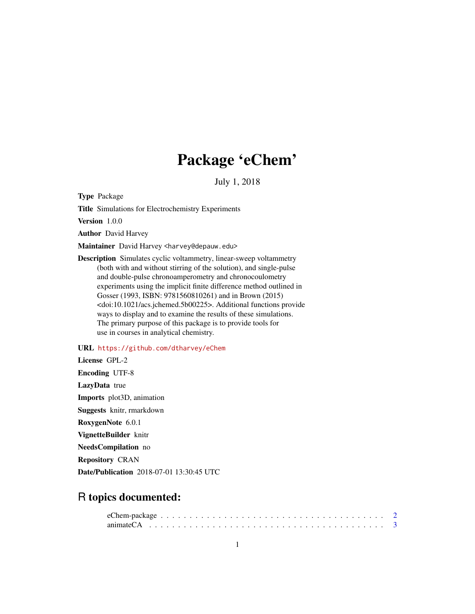# Package 'eChem'

July 1, 2018

Type Package

Title Simulations for Electrochemistry Experiments

Version 1.0.0

Author David Harvey

Maintainer David Harvey <harvey@depauw.edu>

Description Simulates cyclic voltammetry, linear-sweep voltammetry (both with and without stirring of the solution), and single-pulse and double-pulse chronoamperometry and chronocoulometry experiments using the implicit finite difference method outlined in Gosser (1993, ISBN: 9781560810261) and in Brown (2015) <doi:10.1021/acs.jchemed.5b00225>. Additional functions provide ways to display and to examine the results of these simulations. The primary purpose of this package is to provide tools for use in courses in analytical chemistry.

#### URL <https://github.com/dtharvey/eChem>

License GPL-2 Encoding UTF-8 LazyData true Imports plot3D, animation Suggests knitr, rmarkdown RoxygenNote 6.0.1 VignetteBuilder knitr NeedsCompilation no Repository CRAN Date/Publication 2018-07-01 13:30:45 UTC

# R topics documented: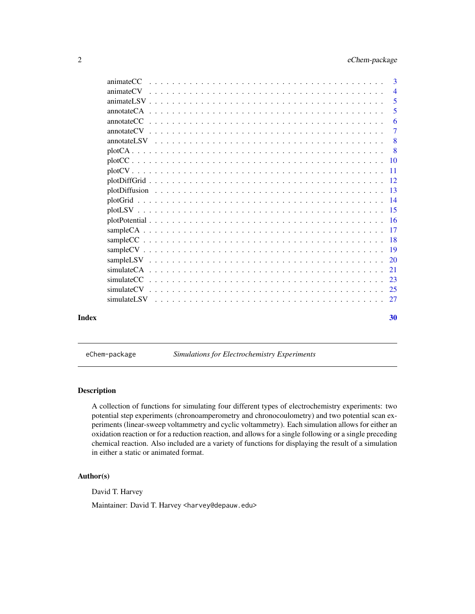<span id="page-1-0"></span>

| Index |           | 30             |
|-------|-----------|----------------|
|       |           |                |
|       |           |                |
|       |           |                |
|       |           |                |
|       |           |                |
|       |           |                |
|       |           |                |
|       |           |                |
|       |           |                |
|       |           |                |
|       |           |                |
|       |           |                |
|       |           |                |
|       |           |                |
|       |           |                |
|       |           | - 8            |
|       |           | 8              |
|       |           | $\overline{7}$ |
|       |           | 6              |
|       |           | 5              |
|       |           | 5              |
|       |           | $\overline{4}$ |
|       | animateCC | 3              |

eChem-package *Simulations for Electrochemistry Experiments*

#### Description

A collection of functions for simulating four different types of electrochemistry experiments: two potential step experiments (chronoamperometry and chronocoulometry) and two potential scan experiments (linear-sweep voltammetry and cyclic voltammetry). Each simulation allows for either an oxidation reaction or for a reduction reaction, and allows for a single following or a single preceding chemical reaction. Also included are a variety of functions for displaying the result of a simulation in either a static or animated format.

# Author(s)

David T. Harvey

Maintainer: David T. Harvey <harvey@depauw.edu>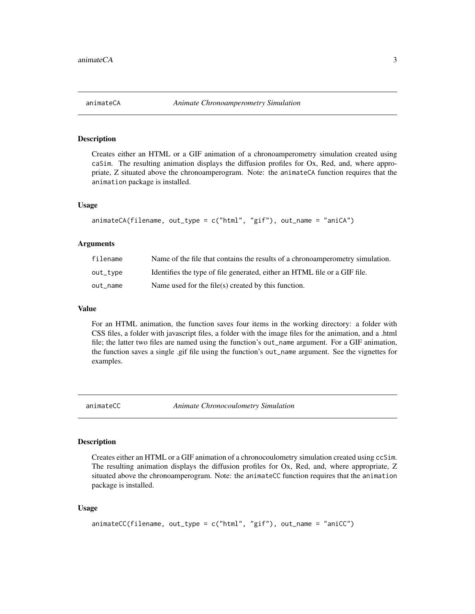<span id="page-2-0"></span>Creates either an HTML or a GIF animation of a chronoamperometry simulation created using caSim. The resulting animation displays the diffusion profiles for Ox, Red, and, where appropriate, Z situated above the chronoamperogram. Note: the animateCA function requires that the animation package is installed.

#### Usage

```
animateCA(filename, out_type = c("html", "gif"), out_name = "aniCA")
```
#### Arguments

| filename | Name of the file that contains the results of a chronoamperometry simulation. |
|----------|-------------------------------------------------------------------------------|
| out_type | Identifies the type of file generated, either an HTML file or a GIF file.     |
| out_name | Name used for the file(s) created by this function.                           |

#### Value

For an HTML animation, the function saves four items in the working directory: a folder with CSS files, a folder with javascript files, a folder with the image files for the animation, and a .html file; the latter two files are named using the function's out\_name argument. For a GIF animation, the function saves a single .gif file using the function's out\_name argument. See the vignettes for examples.

animateCC *Animate Chronocoulometry Simulation*

#### Description

Creates either an HTML or a GIF animation of a chronocoulometry simulation created using ccSim. The resulting animation displays the diffusion profiles for Ox, Red, and, where appropriate, Z situated above the chronoamperogram. Note: the animateCC function requires that the animation package is installed.

#### Usage

```
animateCC(filename, out_type = c("html", "gif"), out_name = "aniCC")
```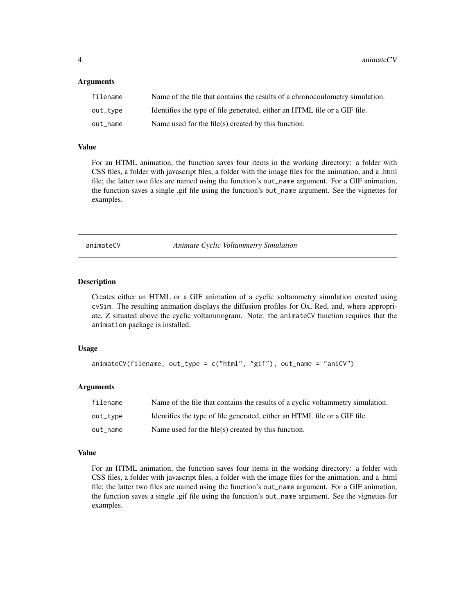<span id="page-3-0"></span>4 animateCV animateCV animateCV animateCV animateCV animateCV animateCV animateCV

#### Arguments

| filename | Name of the file that contains the results of a chronocoulometry simulation. |
|----------|------------------------------------------------------------------------------|
| out_tvpe | Identifies the type of file generated, either an HTML file or a GIF file.    |
| out name | Name used for the file(s) created by this function.                          |

#### Value

For an HTML animation, the function saves four items in the working directory: a folder with CSS files, a folder with javascript files, a folder with the image files for the animation, and a .html file; the latter two files are named using the function's out\_name argument. For a GIF animation, the function saves a single .gif file using the function's out\_name argument. See the vignettes for examples.

animateCV *Animate Cyclic Voltammetry Simulation*

#### Description

Creates either an HTML or a GIF animation of a cyclic voltammetry simulation created using cvSim. The resulting animation displays the diffusion profiles for Ox, Red, and, where appropriate, Z situated above the cyclic voltammogram. Note: the animateCV function requires that the animation package is installed.

#### Usage

```
animateCV(filename, out_type = c("html", "gif"), out_name = "aniCV")
```
#### Arguments

| filename | Name of the file that contains the results of a cyclic voltammetry simulation. |
|----------|--------------------------------------------------------------------------------|
| out_type | Identifies the type of file generated, either an HTML file or a GIF file.      |
| out_name | Name used for the file(s) created by this function.                            |

#### Value

For an HTML animation, the function saves four items in the working directory: a folder with CSS files, a folder with javascript files, a folder with the image files for the animation, and a .html file; the latter two files are named using the function's out\_name argument. For a GIF animation, the function saves a single .gif file using the function's out\_name argument. See the vignettes for examples.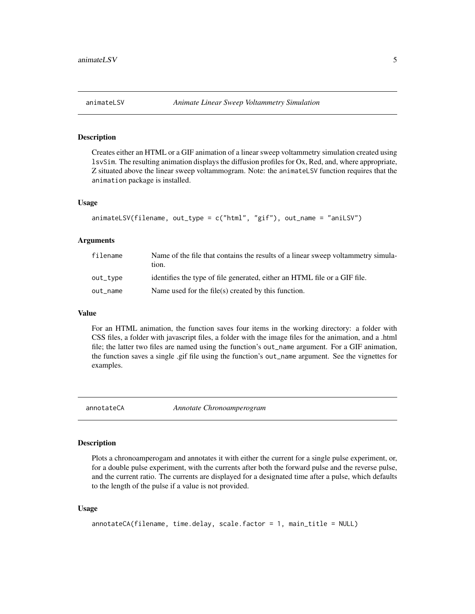<span id="page-4-0"></span>

Creates either an HTML or a GIF animation of a linear sweep voltammetry simulation created using lsvSim. The resulting animation displays the diffusion profiles for Ox, Red, and, where appropriate, Z situated above the linear sweep voltammogram. Note: the animateLSV function requires that the animation package is installed.

#### Usage

```
animateLSV(filename, out_type = c("html", "gif"), out_name = "aniLSV")
```
#### Arguments

| filename | Name of the file that contains the results of a linear sweep voltammetry simula-<br>tion. |
|----------|-------------------------------------------------------------------------------------------|
| out_type | identifies the type of file generated, either an HTML file or a GIF file.                 |
| out name | Name used for the file(s) created by this function.                                       |

#### Value

For an HTML animation, the function saves four items in the working directory: a folder with CSS files, a folder with javascript files, a folder with the image files for the animation, and a .html file; the latter two files are named using the function's out\_name argument. For a GIF animation, the function saves a single .gif file using the function's out\_name argument. See the vignettes for examples.

annotateCA *Annotate Chronoamperogram*

#### Description

Plots a chronoamperogam and annotates it with either the current for a single pulse experiment, or, for a double pulse experiment, with the currents after both the forward pulse and the reverse pulse, and the current ratio. The currents are displayed for a designated time after a pulse, which defaults to the length of the pulse if a value is not provided.

#### Usage

```
annotateCA(filename, time.delay, scale.factor = 1, main_title = NULL)
```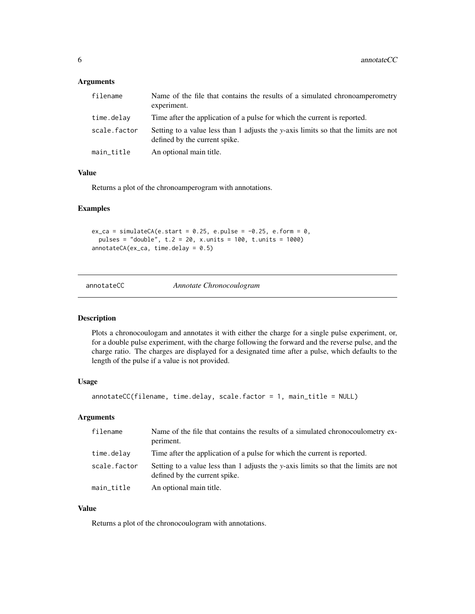#### <span id="page-5-0"></span>Arguments

| filename     | Name of the file that contains the results of a simulated chronoamperometry<br>experiment.                           |
|--------------|----------------------------------------------------------------------------------------------------------------------|
| time.delay   | Time after the application of a pulse for which the current is reported.                                             |
| scale.factor | Setting to a value less than 1 adjusts the y-axis limits so that the limits are not<br>defined by the current spike. |
| main title   | An optional main title.                                                                                              |

#### Value

Returns a plot of the chronoamperogram with annotations.

#### Examples

 $ex\_ca = simulateCA(e.start = 0.25, e.pulse = -0.25, e.format = 0,$ pulses = "double", t.2 = 20, x.units = 100, t.units = 1000) annotateCA(ex\_ca, time.delay = 0.5)

annotateCC *Annotate Chronocoulogram*

#### Description

Plots a chronocoulogam and annotates it with either the charge for a single pulse experiment, or, for a double pulse experiment, with the charge following the forward and the reverse pulse, and the charge ratio. The charges are displayed for a designated time after a pulse, which defaults to the length of the pulse if a value is not provided.

#### Usage

```
annotateCC(filename, time.delay, scale.factor = 1, main_title = NULL)
```
#### Arguments

| filename     | Name of the file that contains the results of a simulated chronocoulometry ex-<br>periment.                          |
|--------------|----------------------------------------------------------------------------------------------------------------------|
| time.delay   | Time after the application of a pulse for which the current is reported.                                             |
| scale.factor | Setting to a value less than 1 adjusts the y-axis limits so that the limits are not<br>defined by the current spike. |
| main_title   | An optional main title.                                                                                              |

# Value

Returns a plot of the chronocoulogram with annotations.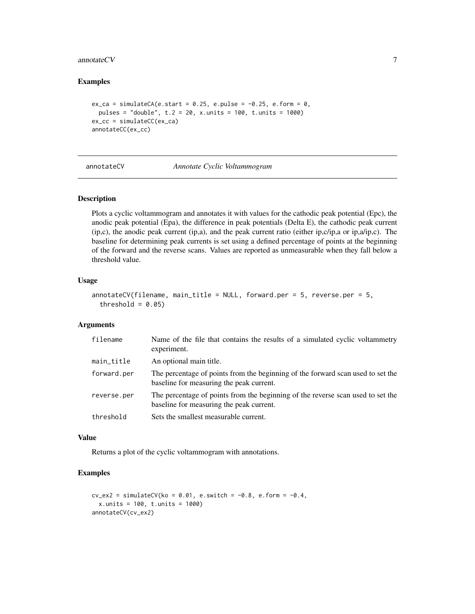#### <span id="page-6-0"></span>annotate $CV$  7

#### Examples

```
ex\_ca = simulateCA(e.start = 0.25, e.push = -0.25, e.format = 0,pulses = "double", t.2 = 20, x.units = 100, t.units = 1000)
ex_cc = simulateCC(ex_ca)
annotateCC(ex_cc)
```

| annotateCV |  |
|------------|--|
|------------|--|

# annotateCV *Annotate Cyclic Voltammogram*

#### Description

Plots a cyclic voltammogram and annotates it with values for the cathodic peak potential (Epc), the anodic peak potential (Epa), the difference in peak potentials (Delta E), the cathodic peak current (ip,c), the anodic peak current (ip,a), and the peak current ratio (either ip,c/ip,a or ip,a/ip,c). The baseline for determining peak currents is set using a defined percentage of points at the beginning of the forward and the reverse scans. Values are reported as unmeasurable when they fall below a threshold value.

#### Usage

```
annotateCV(filename, main_title = NULL, forward.per = 5, reverse.per = 5,
  threshold = 0.05)
```
#### Arguments

| filename    | Name of the file that contains the results of a simulated cyclic voltammetry<br>experiment.                                 |
|-------------|-----------------------------------------------------------------------------------------------------------------------------|
| main_title  | An optional main title.                                                                                                     |
| forward.per | The percentage of points from the beginning of the forward scan used to set the<br>baseline for measuring the peak current. |
| reverse.per | The percentage of points from the beginning of the reverse scan used to set the<br>baseline for measuring the peak current. |
| threshold   | Sets the smallest measurable current.                                                                                       |

#### Value

Returns a plot of the cyclic voltammogram with annotations.

```
cv\_ex2 = simulateCV(ko = 0.01, e.s with = -0.8, e.form = -0.4,x.units = 100, t.units = 1000)
annotateCV(cv_ex2)
```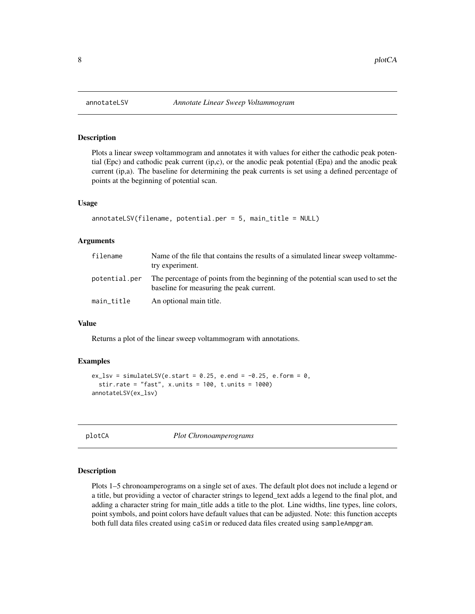Plots a linear sweep voltammogram and annotates it with values for either the cathodic peak potential (Epc) and cathodic peak current (ip,c), or the anodic peak potential (Epa) and the anodic peak current (ip,a). The baseline for determining the peak currents is set using a defined percentage of points at the beginning of potential scan.

#### Usage

```
annotateLSV(filename, potential.per = 5, main_title = NULL)
```
#### Arguments

| filename      | Name of the file that contains the results of a simulated linear sweep voltamme-<br>try experiment.                           |
|---------------|-------------------------------------------------------------------------------------------------------------------------------|
| potential.per | The percentage of points from the beginning of the potential scan used to set the<br>baseline for measuring the peak current. |
| main_title    | An optional main title.                                                                                                       |

#### Value

Returns a plot of the linear sweep voltammogram with annotations.

#### Examples

```
ex_lsv = simulateLSV(e.start = 0.25, e.end = -0.25, e.form = 0,
 stir.rate = "fast", x.units = 100, t.units = 1000)
annotateLSV(ex_lsv)
```
plotCA *Plot Chronoamperograms*

#### Description

Plots 1–5 chronoamperograms on a single set of axes. The default plot does not include a legend or a title, but providing a vector of character strings to legend\_text adds a legend to the final plot, and adding a character string for main\_title adds a title to the plot. Line widths, line types, line colors, point symbols, and point colors have default values that can be adjusted. Note: this function accepts both full data files created using caSim or reduced data files created using sampleAmpgram.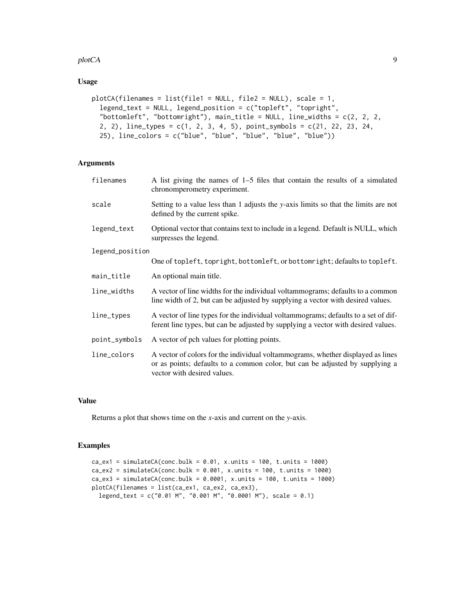#### plotCA and the set of the set of the set of the set of the set of the set of the set of the set of the set of the set of the set of the set of the set of the set of the set of the set of the set of the set of the set of th

### Usage

```
plotCA(filenames = list(file1 = NULL, file2 = NULL), scale = 1,
  legend_text = NULL, legend_position = c("topleft", "topright",
  "bottomleft", "bottomright"), main_title = NULL, line_widths = c(2, 2, 2,
  2, 2), line_types = c(1, 2, 3, 4, 5), point_symbols = c(21, 22, 23, 24,
  25), line_colors = c("blue", "blue", "blue", "blue", "blue"))
```
#### Arguments

| filenames       | A list giving the names of $1-5$ files that contain the results of a simulated<br>chronomperometry experiment.                                                                                 |
|-----------------|------------------------------------------------------------------------------------------------------------------------------------------------------------------------------------------------|
| scale           | Setting to a value less than 1 adjusts the y-axis limits so that the limits are not<br>defined by the current spike.                                                                           |
| legend_text     | Optional vector that contains text to include in a legend. Default is NULL, which<br>surpresses the legend.                                                                                    |
| legend_position |                                                                                                                                                                                                |
|                 | One of topleft, topright, bottomleft, or bottomright; defaults to topleft.                                                                                                                     |
| main_title      | An optional main title.                                                                                                                                                                        |
| line_widths     | A vector of line widths for the individual voltammograms; defaults to a common<br>line width of 2, but can be adjusted by supplying a vector with desired values.                              |
| line_types      | A vector of line types for the individual voltammograms; defaults to a set of dif-<br>ferent line types, but can be adjusted by supplying a vector with desired values.                        |
| point_symbols   | A vector of pch values for plotting points.                                                                                                                                                    |
| line_colors     | A vector of colors for the individual voltammograms, whether displayed as lines<br>or as points; defaults to a common color, but can be adjusted by supplying a<br>vector with desired values. |
|                 |                                                                                                                                                                                                |

#### Value

Returns a plot that shows time on the *x*-axis and current on the *y*-axis.

```
ca\_ex1 = simulateCA(conc.bulk = 0.01, x.units = 100, t.units = 1000)ca\_ex2 = simulateCA(conc.bulk = 0.001, x.units = 100, t.units = 1000)ca\_ex3 = simulateCA(conc.bulk = 0.0001, x.units = 100, t.units = 1000)plotCA(filenames = list(ca_ex1, ca_ex2, ca_ex3),
  legend_text = c("0.01 M", "0.001 M", "0.0001 M"), scale = 0.1)
```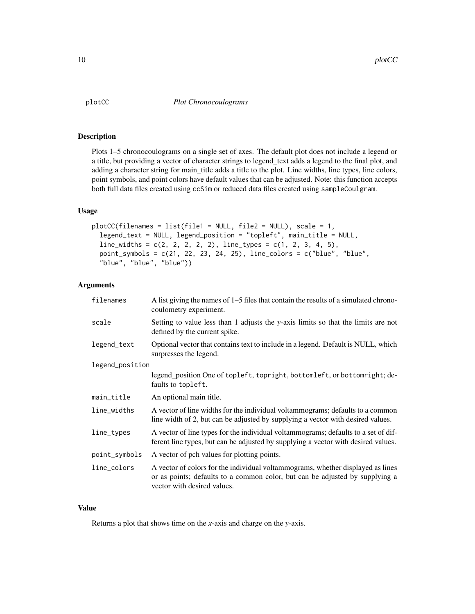<span id="page-9-0"></span>

Plots 1–5 chronocoulograms on a single set of axes. The default plot does not include a legend or a title, but providing a vector of character strings to legend\_text adds a legend to the final plot, and adding a character string for main\_title adds a title to the plot. Line widths, line types, line colors, point symbols, and point colors have default values that can be adjusted. Note: this function accepts both full data files created using ccSim or reduced data files created using sampleCoulgram.

#### Usage

```
plotCC(filenames = list(file1 = NULL, file2 = NULL), scale = 1,
  legend_text = NULL, legend_position = "topleft", main_title = NULL,
  line_widths = c(2, 2, 2, 2, 2), line_types = c(1, 2, 3, 4, 5),point_symbols = c(21, 22, 23, 24, 25), line_colors = c("blue", "blue",
  "blue", "blue", "blue"))
```
#### Arguments

| filenames       | A list giving the names of 1–5 files that contain the results of a simulated chrono-<br>coulometry experiment.                                                                                 |
|-----------------|------------------------------------------------------------------------------------------------------------------------------------------------------------------------------------------------|
| scale           | Setting to value less than 1 adjusts the y-axis limits so that the limits are not<br>defined by the current spike.                                                                             |
| legend_text     | Optional vector that contains text to include in a legend. Default is NULL, which<br>surpresses the legend.                                                                                    |
| legend_position |                                                                                                                                                                                                |
|                 | legend_position One of topleft, topright, bottomleft, or bottomright; de-<br>faults to topleft.                                                                                                |
| main_title      | An optional main title.                                                                                                                                                                        |
| line_widths     | A vector of line widths for the individual voltammograms; defaults to a common<br>line width of 2, but can be adjusted by supplying a vector with desired values.                              |
| line_types      | A vector of line types for the individual voltammograms; defaults to a set of dif-<br>ferent line types, but can be adjusted by supplying a vector with desired values.                        |
| point_symbols   | A vector of pch values for plotting points.                                                                                                                                                    |
| line_colors     | A vector of colors for the individual voltammograms, whether displayed as lines<br>or as points; defaults to a common color, but can be adjusted by supplying a<br>vector with desired values. |

### Value

Returns a plot that shows time on the *x*-axis and charge on the *y*-axis.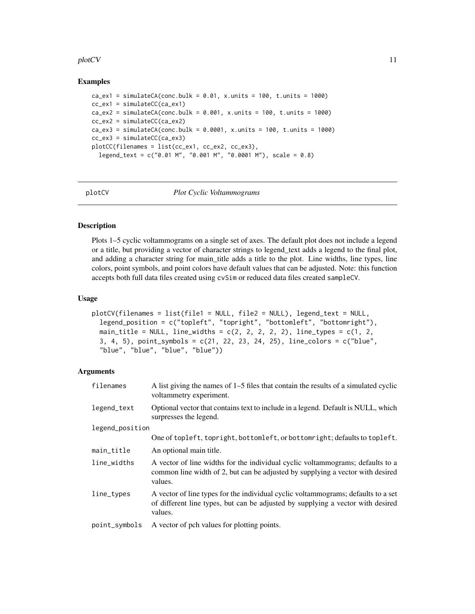#### <span id="page-10-0"></span>plotCV and the state of the state of the state of the state of the state of the state of the state of the state of the state of the state of the state of the state of the state of the state of the state of the state of the

#### Examples

```
ca\_ex1 = simulateCA(conc.bulk = 0.01, x.units = 100, t.units = 1000)cc\_ex1 = \text{simulateCC}(ca\_ex1)ca\_ex2 = simulateCA(conc.bulk = 0.001, x.units = 100, t.units = 1000)cc\_ex2 = \text{simulateCC}(ca\_ex2)ca\_ex3 = simulateCA(conc.bulk = 0.0001, x.units = 100, t.units = 1000)cc_ex3 = simulateCC(ca_ex3)
plotCC(filenames = list(cc_ex1, cc_ex2, cc_ex3),
  legend_text = c("0.01 M", "0.001 M", "0.0001 M"), scale = 0.8)
```

| v<br>plotC' |
|-------------|
|             |

plotCV *Plot Cyclic Voltammograms*

# Description

Plots 1–5 cyclic voltammograms on a single set of axes. The default plot does not include a legend or a title, but providing a vector of character strings to legend\_text adds a legend to the final plot, and adding a character string for main\_title adds a title to the plot. Line widths, line types, line colors, point symbols, and point colors have default values that can be adjusted. Note: this function accepts both full data files created using cvSim or reduced data files created sampleCV.

#### Usage

```
plotCV(filenames = list(file1 = NULL, file2 = NULL), legend_text = NULL,
 legend_position = c("topleft", "topright", "bottomleft", "bottomright"),
 main_title = NULL, line_widths = c(2, 2, 2, 2, 2), line_types = c(1, 2, 1)3, 4, 5), point_symbols = c(21, 22, 23, 24, 25), line_colors = c("blue",
  "blue", "blue", "blue", "blue"))
```
#### Arguments

| filenames       | A list giving the names of 1–5 files that contain the results of a simulated cyclic<br>voltammetry experiment.                                                                  |
|-----------------|---------------------------------------------------------------------------------------------------------------------------------------------------------------------------------|
| legend_text     | Optional vector that contains text to include in a legend. Default is NULL, which<br>surpresses the legend.                                                                     |
| legend_position |                                                                                                                                                                                 |
|                 | One of topleft, topright, bottomleft, or bottomright; defaults to topleft.                                                                                                      |
| main_title      | An optional main title.                                                                                                                                                         |
| line_widths     | A vector of line widths for the individual cyclic voltammograms; defaults to a<br>common line width of 2, but can be adjusted by supplying a vector with desired<br>values.     |
| line_types      | A vector of line types for the individual cyclic voltammograms; defaults to a set<br>of different line types, but can be adjusted by supplying a vector with desired<br>values. |
| point_symbols   | A vector of pch values for plotting points.                                                                                                                                     |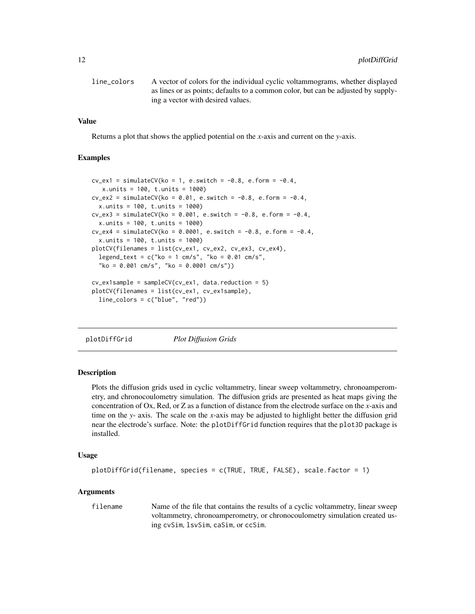<span id="page-11-0"></span>

| line colors | A vector of colors for the individual cyclic voltammograms, whether displayed     |
|-------------|-----------------------------------------------------------------------------------|
|             | as lines or as points; defaults to a common color, but can be adjusted by supply- |
|             | ing a vector with desired values.                                                 |

### Value

Returns a plot that shows the applied potential on the *x*-axis and current on the *y*-axis.

#### Examples

```
cv\_ex1 = simulateCV(ko = 1, e.swith = -0.8, e.format = -0.4,x.units = 100, t.units = 1000)
cv\_ex2 = simulateCV(ko = 0.01, e.swith = -0.8, e.format = -0.4,x.units = 100, t.units = 1000)
cv\_ex3 = simulateCV(ko = 0.001, e.s with = -0.8, e.format = -0.4,x.units = 100, t.units = 1000)
cv\_ex4 = simulateCV(ko = 0.0001, e.s with = -0.8, e.form = -0.4,x.units = 100, t.units = 1000)
plotCV(filenames = list(cv_ex1, cv_ex2, cv_ex3, cv_ex4),
  legend_text = c("ko = 1 cm/s", "ko = 0.01 cm/s","ko = 0.001 cm/s", "ko = 0.0001 cm/s"))
cv_ex1sample = sampleCV(cv_ex1, data.reduction = 5)
plotCV(filenames = list(cv_ex1, cv_ex1sample),
  line_colors = c("blue", "red"))
```
plotDiffGrid *Plot Diffusion Grids*

#### **Description**

Plots the diffusion grids used in cyclic voltammetry, linear sweep voltammetry, chronoamperometry, and chronocoulometry simulation. The diffusion grids are presented as heat maps giving the concentration of Ox, Red, or Z as a function of distance from the electrode surface on the *x*-axis and time on the *y*- axis. The scale on the *x*-axis may be adjusted to highlight better the diffusion grid near the electrode's surface. Note: the plotDiffGrid function requires that the plot3D package is installed.

#### Usage

```
plotDiffGrid(filename, species = c(TRUE, TRUE, FALSE), scale.factor = 1)
```
#### Arguments

filename Name of the file that contains the results of a cyclic voltammetry, linear sweep voltammetry, chronoamperometry, or chronocoulometry simulation created using cvSim, lsvSim, caSim, or ccSim.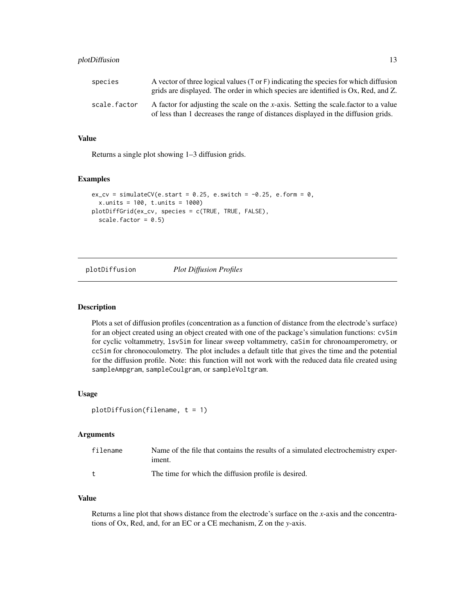#### <span id="page-12-0"></span>plotDiffusion 13

| species      | A vector of three logical values (T or F) indicating the species for which diffusion<br>grids are displayed. The order in which species are identified is Ox, Red, and Z. |
|--------------|---------------------------------------------------------------------------------------------------------------------------------------------------------------------------|
| scale.factor | A factor for adjusting the scale on the x-axis. Setting the scale factor to a value<br>of less than 1 decreases the range of distances displayed in the diffusion grids.  |

#### Value

Returns a single plot showing 1–3 diffusion grids.

#### Examples

```
ex_{c}v = simulateCV(e.start = 0.25, e.switch = -0.25, e.form = 0,
  x.units = 100, t.units = 1000)
plotDiffGrid(ex_cv, species = c(TRUE, TRUE, FALSE),
  scale.factor = 0.5)
```
# plotDiffusion *Plot Diffusion Profiles*

#### Description

Plots a set of diffusion profiles (concentration as a function of distance from the electrode's surface) for an object created using an object created with one of the package's simulation functions: cvSim for cyclic voltammetry, lsvSim for linear sweep voltammetry, caSim for chronoamperometry, or ccSim for chronocoulometry. The plot includes a default title that gives the time and the potential for the diffusion profile. Note: this function will not work with the reduced data file created using sampleAmpgram, sampleCoulgram, or sampleVoltgram.

#### Usage

```
plotDiffusion(filename, t = 1)
```
#### Arguments

| filename | Name of the file that contains the results of a simulated electrochemistry exper-<br>iment. |
|----------|---------------------------------------------------------------------------------------------|
|          | The time for which the diffusion profile is desired.                                        |

### Value

Returns a line plot that shows distance from the electrode's surface on the *x*-axis and the concentrations of Ox, Red, and, for an EC or a CE mechanism, Z on the *y*-axis.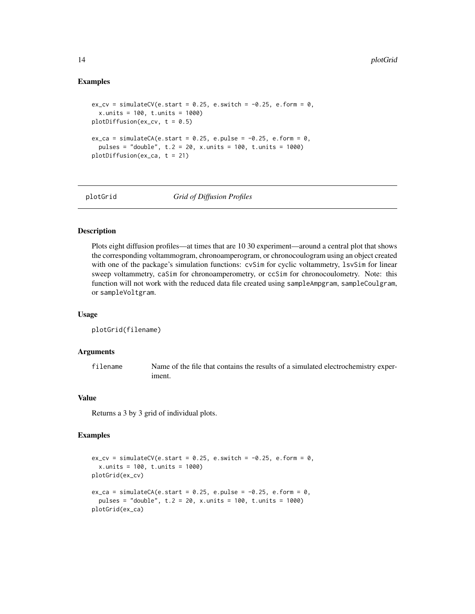#### Examples

```
ex_{cv} = simulateCV(e.start = 0.25, e.switch = -0.25, e.form = 0,
 x.units = 100, t.units = 1000)
plotDiffusion(ex_cv, t = 0.5)ex\_ca = simulateCA(e.start = 0.25, e.pulse = -0.25, e.format = 0,pulses = "double", t.2 = 20, x.units = 100, t.units = 1000)
plotDiffusion(ex_ca, t = 21)
```
plotGrid *Grid of Diffusion Profiles*

#### Description

Plots eight diffusion profiles—at times that are 10 30 experiment—around a central plot that shows the corresponding voltammogram, chronoamperogram, or chronocoulogram using an object created with one of the package's simulation functions: cvSim for cyclic voltammetry, lsvSim for linear sweep voltammetry, caSim for chronoamperometry, or ccSim for chronocoulometry. Note: this function will not work with the reduced data file created using sampleAmpgram, sampleCoulgram, or sampleVoltgram.

#### Usage

```
plotGrid(filename)
```
#### Arguments

filename Name of the file that contains the results of a simulated electrochemistry experiment.

#### Value

Returns a 3 by 3 grid of individual plots.

```
ex\_cv = simulateCV(e.start = 0.25, e.swith = -0.25, e.format = 0,x.units = 100, t.units = 1000)
plotGrid(ex_cv)
ex\_ca = simulateCA(e.start = 0.25, e.pulse = -0.25, e.format = 0,pulses = "double", t.2 = 20, x.units = 100, t.units = 1000)
plotGrid(ex_ca)
```
<span id="page-13-0"></span>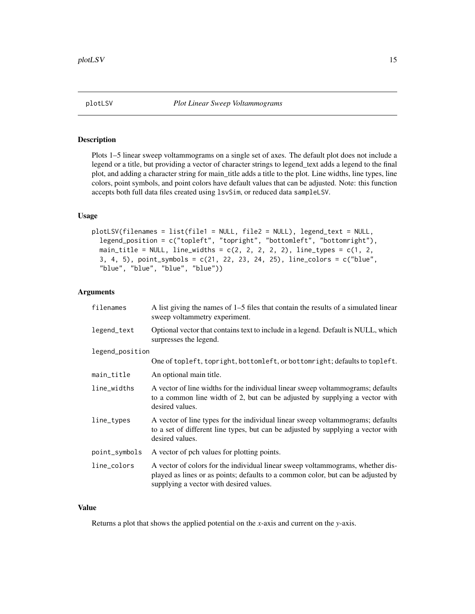<span id="page-14-0"></span>

Plots 1–5 linear sweep voltammograms on a single set of axes. The default plot does not include a legend or a title, but providing a vector of character strings to legend\_text adds a legend to the final plot, and adding a character string for main\_title adds a title to the plot. Line widths, line types, line colors, point symbols, and point colors have default values that can be adjusted. Note: this function accepts both full data files created using lsvSim, or reduced data sampleLSV.

#### Usage

```
plotLSV(filenames = list(file1 = NULL, file2 = NULL), legend_text = NULL,
 legend_position = c("topleft", "topright", "bottomleft", "bottomright"),
 main_title = NULL, line_widths = c(2, 2, 2, 2, 2), line_types = c(1, 2, 2)3, 4, 5), point_symbols = c(21, 22, 23, 24, 25), line_colors = c("blue",
  "blue", "blue", "blue", "blue"))
```
#### **Arguments**

| filenames       | A list giving the names of $1-5$ files that contain the results of a simulated linear<br>sweep voltammetry experiment.                                                                                        |
|-----------------|---------------------------------------------------------------------------------------------------------------------------------------------------------------------------------------------------------------|
| legend_text     | Optional vector that contains text to include in a legend. Default is NULL, which<br>surpresses the legend.                                                                                                   |
| legend_position |                                                                                                                                                                                                               |
|                 | One of topleft, topright, bottomleft, or bottomright; defaults to topleft.                                                                                                                                    |
| main_title      | An optional main title.                                                                                                                                                                                       |
| line_widths     | A vector of line widths for the individual linear sweep voltammograms; defaults<br>to a common line width of 2, but can be adjusted by supplying a vector with<br>desired values.                             |
| line_types      | A vector of line types for the individual linear sweep voltammograms; defaults<br>to a set of different line types, but can be adjusted by supplying a vector with<br>desired values.                         |
| point_symbols   | A vector of pch values for plotting points.                                                                                                                                                                   |
| line_colors     | A vector of colors for the individual linear sweep voltammograms, whether dis-<br>played as lines or as points; defaults to a common color, but can be adjusted by<br>supplying a vector with desired values. |

#### Value

Returns a plot that shows the applied potential on the *x*-axis and current on the *y*-axis.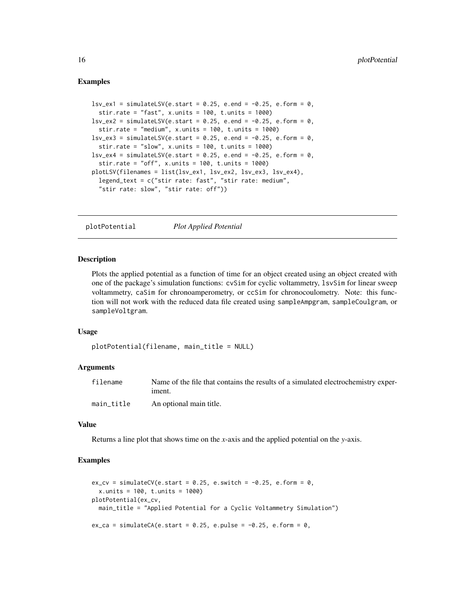#### Examples

```
lsv\_ex1 = simulatedSV(e.start = 0.25, e.end = -0.25, e.format = 0,stir.rate = "fast", x.units = 100, t.units = 1000)
\text{lsv\_ex2 = simulatedSV(e.start = 0.25, e.end = -0.25, e.format = 0,}stir.rate = "medium", x.units = 100, t.units = 1000)
\text{lsv\_ex3} = \text{simulatedSV}(e.\text{start} = 0.25, e.\text{end} = -0.25, e.\text{form} = 0,stir.rate = "slow", x.units = 100, t.units = 1000)
lsv\_ex4 = simulatedSV(e.start = 0.25, e.end = -0.25, e.format = 0,stir.rate = "off", x.units = 100, t.units = 1000)
plotLSV(filenames = list(lsv_ex1, lsv_ex2, lsv_ex3, lsv_ex4),
  legend_text = c("stir rate: fast", "stir rate: medium",
  "stir rate: slow", "stir rate: off"))
```
plotPotential *Plot Applied Potential*

#### Description

Plots the applied potential as a function of time for an object created using an object created with one of the package's simulation functions: cvSim for cyclic voltammetry, lsvSim for linear sweep voltammetry, caSim for chronoamperometry, or ccSim for chronocoulometry. Note: this function will not work with the reduced data file created using sampleAmpgram, sampleCoulgram, or sampleVoltgram.

#### Usage

```
plotPotential(filename, main_title = NULL)
```
#### Arguments

| filename   | Name of the file that contains the results of a simulated electrochemistry exper-<br>iment. |
|------------|---------------------------------------------------------------------------------------------|
| main title | An optional main title.                                                                     |

#### Value

Returns a line plot that shows time on the *x*-axis and the applied potential on the *y*-axis.

```
ex_{c}v = simulateCV(e.start = 0.25, e.switch = -0.25, e.form = 0,
 x.units = 100, t.units = 1000)
plotPotential(ex_cv,
 main_title = "Applied Potential for a Cyclic Voltammetry Simulation")
ex\_ca = simulateCA(e.start = 0.25, e.pulse = -0.25, e.format = 0,
```
<span id="page-15-0"></span>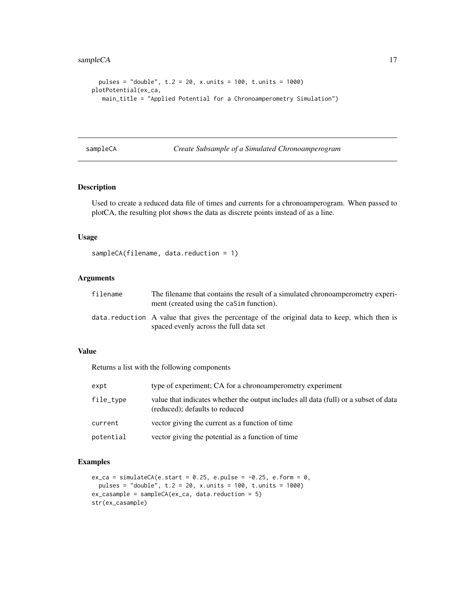```
pulses = "double", t.2 = 20, x.units = 100, t.units = 1000)
plotPotential(ex_ca,
  main_title = "Applied Potential for a Chronoamperometry Simulation")
```
sampleCA *Create Subsample of a Simulated Chronoamperogram*

#### Description

Used to create a reduced data file of times and currents for a chronoamperogram. When passed to plotCA, the resulting plot shows the data as discrete points instead of as a line.

# Usage

```
sampleCA(filename, data.reduction = 1)
```
#### Arguments

| filename | The filename that contains the result of a simulated chronoamperometry experi-<br>ment (created using the caSim function).              |
|----------|-----------------------------------------------------------------------------------------------------------------------------------------|
|          | data reduction. A value that gives the percentage of the original data to keep, which then is<br>spaced evenly across the full data set |

#### Value

Returns a list with the following components

| expt      | type of experiment; CA for a chronoamperometry experiment                                                              |
|-----------|------------------------------------------------------------------------------------------------------------------------|
| file_type | value that indicates whether the output includes all data (full) or a subset of data<br>(reduced); defaults to reduced |
| current   | vector giving the current as a function of time                                                                        |
| potential | vector giving the potential as a function of time                                                                      |

```
ex\_ca = simulateCA(e.start = 0.25, e.push = -0.25, e.format = 0,pulses = "double", t.2 = 20, x.units = 100, t.units = 1000)
ex_casample = sampleCA(ex_ca, data.reduction = 5)
str(ex_casample)
```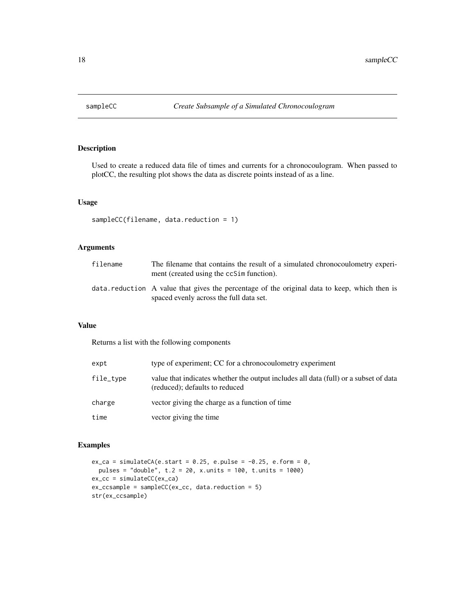<span id="page-17-0"></span>

Used to create a reduced data file of times and currents for a chronocoulogram. When passed to plotCC, the resulting plot shows the data as discrete points instead of as a line.

# Usage

```
sampleCC(filename, data.reduction = 1)
```
#### Arguments

| filename | The filename that contains the result of a simulated chronocoulometry experi-<br>ment (created using the ccSim function).               |
|----------|-----------------------------------------------------------------------------------------------------------------------------------------|
|          | data reduction A value that gives the percentage of the original data to keep, which then is<br>spaced evenly across the full data set. |

#### Value

Returns a list with the following components

| expt      | type of experiment; CC for a chronocoulometry experiment                                                               |
|-----------|------------------------------------------------------------------------------------------------------------------------|
| file_type | value that indicates whether the output includes all data (full) or a subset of data<br>(reduced); defaults to reduced |
| charge    | vector giving the charge as a function of time                                                                         |
| time      | vector giving the time                                                                                                 |

```
ex\_ca = simulateCA(e.start = 0.25, e.push = -0.25, e.format = 0,pulses = "double", t.2 = 20, x.units = 100, t.units = 1000)
ex_cc = simulateCC(ex_ca)
ex_ccsample = sampleCC(ex_cc, data.reduction = 5)
str(ex_ccsample)
```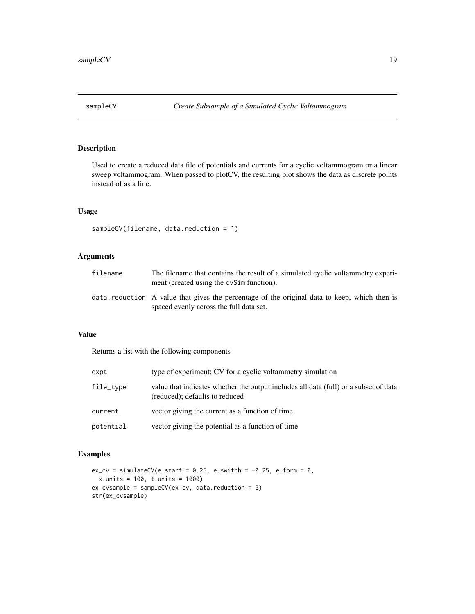<span id="page-18-0"></span>

Used to create a reduced data file of potentials and currents for a cyclic voltammogram or a linear sweep voltammogram. When passed to plotCV, the resulting plot shows the data as discrete points instead of as a line.

#### Usage

```
sampleCV(filename, data.reduction = 1)
```
#### Arguments

| filename | The filename that contains the result of a simulated cyclic voltammetry experi-<br>ment (created using the cvSim function).             |
|----------|-----------------------------------------------------------------------------------------------------------------------------------------|
|          | data reduction A value that gives the percentage of the original data to keep, which then is<br>spaced evenly across the full data set. |

#### Value

Returns a list with the following components

| expt      | type of experiment; CV for a cyclic voltammetry simulation                                                             |
|-----------|------------------------------------------------------------------------------------------------------------------------|
| file_type | value that indicates whether the output includes all data (full) or a subset of data<br>(reduced); defaults to reduced |
| current   | vector giving the current as a function of time                                                                        |
| potential | vector giving the potential as a function of time                                                                      |

```
ex_{c}v = simulateCV(e.start = 0.25, e.switch = -0.25, e.form = 0,
  x.units = 100, t.units = 1000)
ex_cvsample = sampleCV(ex_cv, data.reduction = 5)
str(ex_cvsample)
```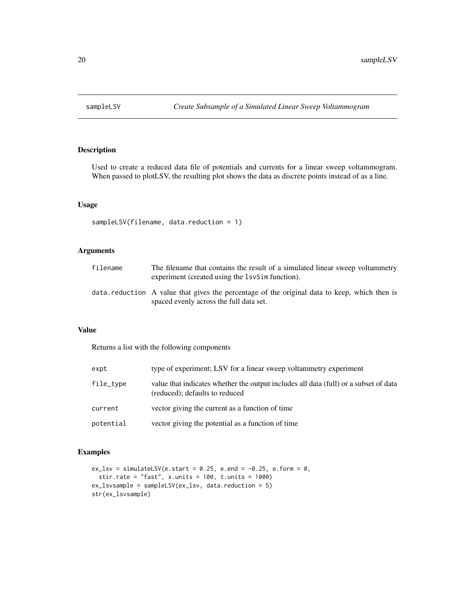<span id="page-19-0"></span>

Used to create a reduced data file of potentials and currents for a linear sweep voltammogram. When passed to plotLSV, the resulting plot shows the data as discrete points instead of as a line.

#### Usage

```
sampleLSV(filename, data.reduction = 1)
```
### Arguments

| filename | The filename that contains the result of a simulated linear sweep voltammetry<br>experiment (created using the 1svSim function).        |
|----------|-----------------------------------------------------------------------------------------------------------------------------------------|
|          | data reduction A value that gives the percentage of the original data to keep, which then is<br>spaced evenly across the full data set. |

#### Value

Returns a list with the following components

| expt      | type of experiment; LSV for a linear sweep voltammetry experiment                                                      |
|-----------|------------------------------------------------------------------------------------------------------------------------|
| file_type | value that indicates whether the output includes all data (full) or a subset of data<br>(reduced); defaults to reduced |
| current   | vector giving the current as a function of time                                                                        |
| potential | vector giving the potential as a function of time                                                                      |

```
ex_llsv = simulateLSV(e.start = 0.25, e.end = -0.25, e.form = 0,
  stir.rate = "fast", x.units = 100, t.units = 1000)
ex_lsvsample = sampleLSV(ex_lsv, data.reduction = 5)
str(ex_lsvsample)
```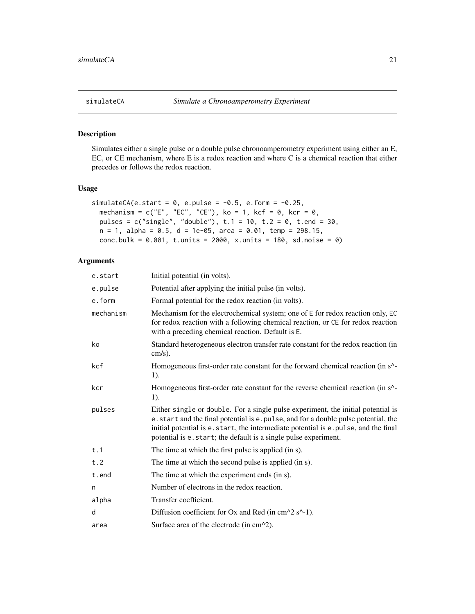<span id="page-20-0"></span>

Simulates either a single pulse or a double pulse chronoamperometry experiment using either an E, EC, or CE mechanism, where E is a redox reaction and where C is a chemical reaction that either precedes or follows the redox reaction.

#### Usage

```
simulateCA(e.start = 0, e.pulse = -0.5, e.form = -0.25,
 mechanism = c("E", "EC", "CE"), ko = 1, kcf = 0, kcr = 0,
 pulses = c("single", "double"), t.1 = 10, t.2 = 0, t.end = 30,
 n = 1, alpha = 0.5, d = 1e-05, area = 0.01, temp = 298.15,
  conc.bulk = 0.001, t.units = 2000, x.units = 180, sd.noise = 0)
```
#### Arguments

| e.start   | Initial potential (in volts).                                                                                                                                                                                                                                                                                                     |
|-----------|-----------------------------------------------------------------------------------------------------------------------------------------------------------------------------------------------------------------------------------------------------------------------------------------------------------------------------------|
| e.pulse   | Potential after applying the initial pulse (in volts).                                                                                                                                                                                                                                                                            |
| e.form    | Formal potential for the redox reaction (in volts).                                                                                                                                                                                                                                                                               |
| mechanism | Mechanism for the electrochemical system; one of E for redox reaction only, EC<br>for redox reaction with a following chemical reaction, or CE for redox reaction<br>with a preceding chemical reaction. Default is E.                                                                                                            |
| ko        | Standard heterogeneous electron transfer rate constant for the redox reaction (in<br>$cm/s$ ).                                                                                                                                                                                                                                    |
| kcf       | Homogeneous first-order rate constant for the forward chemical reaction (in s <sup>^</sup> -<br>1).                                                                                                                                                                                                                               |
| kcr       | Homogeneous first-order rate constant for the reverse chemical reaction (in s^-<br>1).                                                                                                                                                                                                                                            |
| pulses    | Either single or double. For a single pulse experiment, the initial potential is<br>e. start and the final potential is e. pulse, and for a double pulse potential, the<br>initial potential is e.start, the intermediate potential is e.pulse, and the final<br>potential is e. start; the default is a single pulse experiment. |
| t.1       | The time at which the first pulse is applied (in s).                                                                                                                                                                                                                                                                              |
| t.2       | The time at which the second pulse is applied (in s).                                                                                                                                                                                                                                                                             |
| t.end     | The time at which the experiment ends (in s).                                                                                                                                                                                                                                                                                     |
| n         | Number of electrons in the redox reaction.                                                                                                                                                                                                                                                                                        |
| alpha     | Transfer coefficient.                                                                                                                                                                                                                                                                                                             |
| d         | Diffusion coefficient for Ox and Red (in $cm^2s^2-1$ ).                                                                                                                                                                                                                                                                           |
| area      | Surface area of the electrode (in $cm^2$ ).                                                                                                                                                                                                                                                                                       |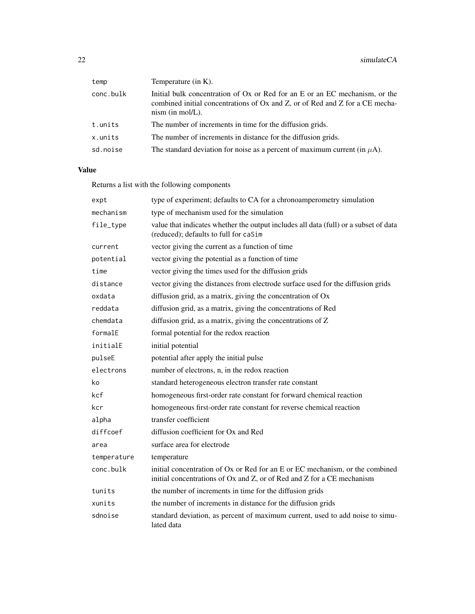| temp      | Temperature (in K).                                                                                                                                                               |
|-----------|-----------------------------------------------------------------------------------------------------------------------------------------------------------------------------------|
| conc.bulk | Initial bulk concentration of Ox or Red for an E or an EC mechanism, or the<br>combined initial concentrations of Ox and Z, or of Red and Z for a CE mecha-<br>$nism$ (in mol/L). |
| t.units   | The number of increments in time for the diffusion grids.                                                                                                                         |
| x.units   | The number of increments in distance for the diffusion grids.                                                                                                                     |
| sd.noise  | The standard deviation for noise as a percent of maximum current (in $\mu$ A).                                                                                                    |

# Value

Returns a list with the following components

| expt        | type of experiment; defaults to CA for a chronoamperometry simulation                                                                                  |
|-------------|--------------------------------------------------------------------------------------------------------------------------------------------------------|
| mechanism   | type of mechanism used for the simulation                                                                                                              |
| file_type   | value that indicates whether the output includes all data (full) or a subset of data<br>(reduced); defaults to full for caSim                          |
| current     | vector giving the current as a function of time                                                                                                        |
| potential   | vector giving the potential as a function of time                                                                                                      |
| time        | vector giving the times used for the diffusion grids                                                                                                   |
| distance    | vector giving the distances from electrode surface used for the diffusion grids                                                                        |
| oxdata      | diffusion grid, as a matrix, giving the concentration of Ox                                                                                            |
| reddata     | diffusion grid, as a matrix, giving the concentrations of Red                                                                                          |
| chemdata    | diffusion grid, as a matrix, giving the concentrations of Z                                                                                            |
| formalE     | formal potential for the redox reaction                                                                                                                |
| initialE    | initial potential                                                                                                                                      |
| pulseE      | potential after apply the initial pulse                                                                                                                |
| electrons   | number of electrons, n, in the redox reaction                                                                                                          |
| ko          | standard heterogeneous electron transfer rate constant                                                                                                 |
| kcf         | homogeneous first-order rate constant for forward chemical reaction                                                                                    |
| kcr         | homogeneous first-order rate constant for reverse chemical reaction                                                                                    |
| alpha       | transfer coefficient                                                                                                                                   |
| diffcoef    | diffusion coefficient for Ox and Red                                                                                                                   |
| area        | surface area for electrode                                                                                                                             |
| temperature | temperature                                                                                                                                            |
| conc.bulk   | initial concentration of Ox or Red for an E or EC mechanism, or the combined<br>initial concentrations of Ox and Z, or of Red and Z for a CE mechanism |
| tunits      | the number of increments in time for the diffusion grids                                                                                               |
| xunits      | the number of increments in distance for the diffusion grids                                                                                           |
| sdnoise     | standard deviation, as percent of maximum current, used to add noise to simu-<br>lated data                                                            |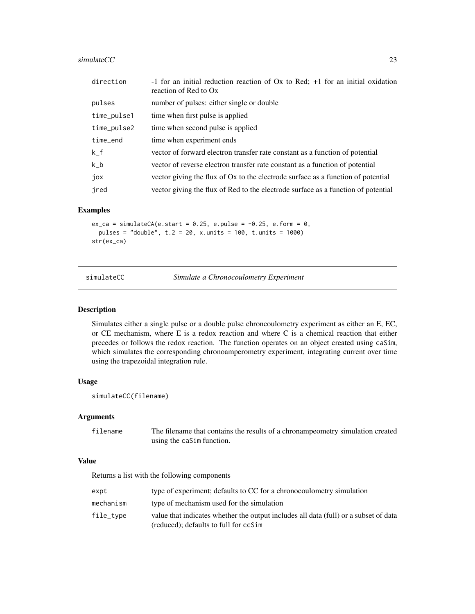#### <span id="page-22-0"></span> $simulateCC$  23

| direction   | -1 for an initial reduction reaction of $Ox$ to Red; $+1$ for an initial oxidation<br>reaction of Red to Ox |
|-------------|-------------------------------------------------------------------------------------------------------------|
| pulses      | number of pulses: either single or double                                                                   |
| time_pulse1 | time when first pulse is applied                                                                            |
| time_pulse2 | time when second pulse is applied                                                                           |
| time_end    | time when experiment ends                                                                                   |
| $k_f$       | vector of forward electron transfer rate constant as a function of potential                                |
| $k_b$       | vector of reverse electron transfer rate constant as a function of potential                                |
| jox         | vector giving the flux of Ox to the electrode surface as a function of potential                            |
| jred        | vector giving the flux of Red to the electrode surface as a function of potential                           |

#### Examples

 $ex\_ca = simulateCA(e.start = 0.25, e.pulse = -0.25, e.format = 0,$ pulses = "double", t.2 = 20, x.units = 100, t.units = 1000) str(ex\_ca)

simulateCC *Simulate a Chronocoulometry Experiment*

#### Description

Simulates either a single pulse or a double pulse chroncoulometry experiment as either an E, EC, or CE mechanism, where E is a redox reaction and where C is a chemical reaction that either precedes or follows the redox reaction. The function operates on an object created using caSim, which simulates the corresponding chronoamperometry experiment, integrating current over time using the trapezoidal integration rule.

#### Usage

```
simulateCC(filename)
```
#### Arguments

filename The filename that contains the results of a chronampeometry simulation created using the caSim function.

#### Value

Returns a list with the following components

| expt      | type of experiment; defaults to CC for a chronocoulometry simulation                                                          |
|-----------|-------------------------------------------------------------------------------------------------------------------------------|
| mechanism | type of mechanism used for the simulation                                                                                     |
| file_tvpe | value that indicates whether the output includes all data (full) or a subset of data<br>(reduced); defaults to full for ccSim |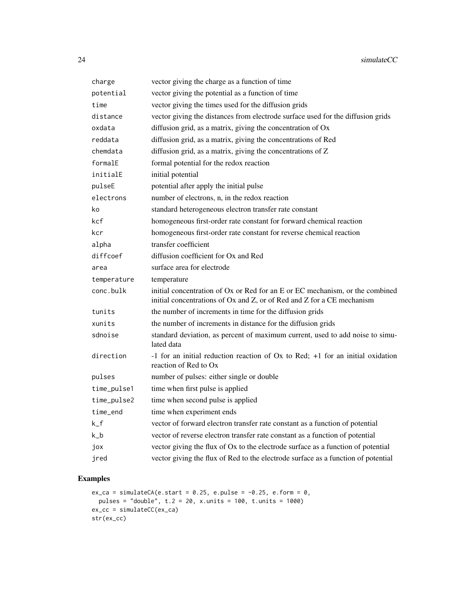| charge      | vector giving the charge as a function of time                                                                                                         |
|-------------|--------------------------------------------------------------------------------------------------------------------------------------------------------|
| potential   | vector giving the potential as a function of time                                                                                                      |
| time        | vector giving the times used for the diffusion grids                                                                                                   |
| distance    | vector giving the distances from electrode surface used for the diffusion grids                                                                        |
| oxdata      | diffusion grid, as a matrix, giving the concentration of Ox                                                                                            |
| reddata     | diffusion grid, as a matrix, giving the concentrations of Red                                                                                          |
| chemdata    | diffusion grid, as a matrix, giving the concentrations of Z                                                                                            |
| formalE     | formal potential for the redox reaction                                                                                                                |
| initialE    | initial potential                                                                                                                                      |
| pulseE      | potential after apply the initial pulse                                                                                                                |
| electrons   | number of electrons, n, in the redox reaction                                                                                                          |
| ko          | standard heterogeneous electron transfer rate constant                                                                                                 |
| kcf         | homogeneous first-order rate constant for forward chemical reaction                                                                                    |
| kcr         | homogeneous first-order rate constant for reverse chemical reaction                                                                                    |
| alpha       | transfer coefficient                                                                                                                                   |
| diffcoef    | diffusion coefficient for Ox and Red                                                                                                                   |
| area        | surface area for electrode                                                                                                                             |
| temperature | temperature                                                                                                                                            |
| conc.bulk   | initial concentration of Ox or Red for an E or EC mechanism, or the combined<br>initial concentrations of Ox and Z, or of Red and Z for a CE mechanism |
| tunits      | the number of increments in time for the diffusion grids                                                                                               |
| xunits      | the number of increments in distance for the diffusion grids                                                                                           |
| sdnoise     | standard deviation, as percent of maximum current, used to add noise to simu-<br>lated data                                                            |
| direction   | -1 for an initial reduction reaction of Ox to Red; +1 for an initial oxidation<br>reaction of Red to Ox                                                |
| pulses      | number of pulses: either single or double                                                                                                              |
| time_pulse1 | time when first pulse is applied                                                                                                                       |
| time_pulse2 | time when second pulse is applied                                                                                                                      |
| time_end    | time when experiment ends                                                                                                                              |
| $k_f$       | vector of forward electron transfer rate constant as a function of potential                                                                           |
| $k_b$       | vector of reverse electron transfer rate constant as a function of potential                                                                           |
| jox         | vector giving the flux of Ox to the electrode surface as a function of potential                                                                       |
| jred        | vector giving the flux of Red to the electrode surface as a function of potential                                                                      |

```
ex\_ca = simulateCA(e.start = 0.25, e.push = -0.25, e.format = 0,pulses = "double", t.2 = 20, x.units = 100, t.units = 1000)
ex_cc = simulateCC(ex_ca)
str(ex_cc)
```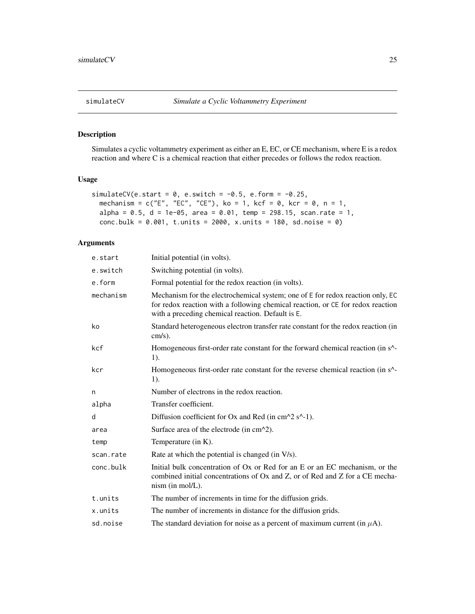<span id="page-24-0"></span>

Simulates a cyclic voltammetry experiment as either an E, EC, or CE mechanism, where E is a redox reaction and where C is a chemical reaction that either precedes or follows the redox reaction.

#### Usage

```
simulateCV(e.start = 0, e.switch = -0.5, e.form = -0.25,
  mechanism = c("E", "EC", "CE"), ko = 1, kcf = 0, kcr = 0, n = 1,
  alpha = 0.5, d = 1e-05, area = 0.01, temp = 298.15, scan.rate = 1,
 conc.bulk = 0.001, t.units = 2000, x.units = 180, sd.noise = 0)
```
# Arguments

| e.start   | Initial potential (in volts).                                                                                                                                                                                          |
|-----------|------------------------------------------------------------------------------------------------------------------------------------------------------------------------------------------------------------------------|
| e.switch  | Switching potential (in volts).                                                                                                                                                                                        |
| e.form    | Formal potential for the redox reaction (in volts).                                                                                                                                                                    |
| mechanism | Mechanism for the electrochemical system; one of E for redox reaction only, EC<br>for redox reaction with a following chemical reaction, or CE for redox reaction<br>with a preceding chemical reaction. Default is E. |
| ko        | Standard heterogeneous electron transfer rate constant for the redox reaction (in<br>$cm/s$ ).                                                                                                                         |
| kcf       | Homogeneous first-order rate constant for the forward chemical reaction (in s <sup>^</sup> -<br>1).                                                                                                                    |
| kcr       | Homogeneous first-order rate constant for the reverse chemical reaction (in s <sup>^</sup> -<br>1).                                                                                                                    |
| n         | Number of electrons in the redox reaction.                                                                                                                                                                             |
| alpha     | Transfer coefficient.                                                                                                                                                                                                  |
| d         | Diffusion coefficient for Ox and Red (in $cm^2 \text{ s}^{-1}$ ).                                                                                                                                                      |
| area      | Surface area of the electrode (in cm^2).                                                                                                                                                                               |
| temp      | Temperature (in $K$ ).                                                                                                                                                                                                 |
| scan.rate | Rate at which the potential is changed (in V/s).                                                                                                                                                                       |
| conc.bulk | Initial bulk concentration of Ox or Red for an E or an EC mechanism, or the<br>combined initial concentrations of Ox and Z, or of Red and Z for a CE mecha-<br>$nism$ (in mol/L).                                      |
| t.units   | The number of increments in time for the diffusion grids.                                                                                                                                                              |
| x.units   | The number of increments in distance for the diffusion grids.                                                                                                                                                          |
| sd.noise  | The standard deviation for noise as a percent of maximum current (in $\mu$ A).                                                                                                                                         |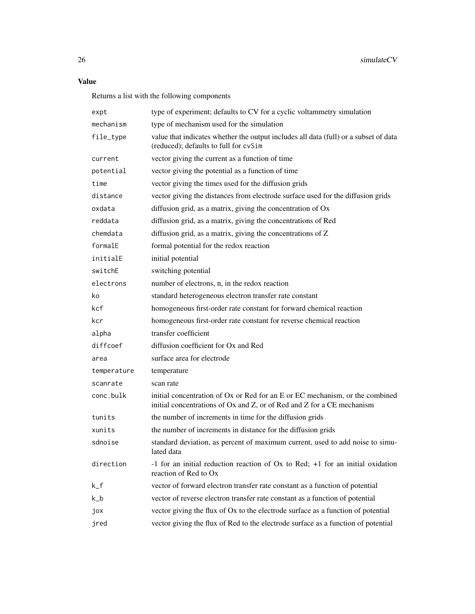#### Value

Returns a list with the following components

| expt        | type of experiment; defaults to CV for a cyclic voltammetry simulation                                                                                 |
|-------------|--------------------------------------------------------------------------------------------------------------------------------------------------------|
| mechanism   | type of mechanism used for the simulation                                                                                                              |
| file_type   | value that indicates whether the output includes all data (full) or a subset of data<br>(reduced); defaults to full for cvSim                          |
| current     | vector giving the current as a function of time                                                                                                        |
| potential   | vector giving the potential as a function of time                                                                                                      |
| time        | vector giving the times used for the diffusion grids                                                                                                   |
| distance    | vector giving the distances from electrode surface used for the diffusion grids                                                                        |
| oxdata      | diffusion grid, as a matrix, giving the concentration of Ox                                                                                            |
| reddata     | diffusion grid, as a matrix, giving the concentrations of Red                                                                                          |
| chemdata    | diffusion grid, as a matrix, giving the concentrations of Z                                                                                            |
| formalE     | formal potential for the redox reaction                                                                                                                |
| initialE    | initial potential                                                                                                                                      |
| switchE     | switching potential                                                                                                                                    |
| electrons   | number of electrons, n, in the redox reaction                                                                                                          |
| ko          | standard heterogeneous electron transfer rate constant                                                                                                 |
| kcf         | homogeneous first-order rate constant for forward chemical reaction                                                                                    |
| kcr         | homogeneous first-order rate constant for reverse chemical reaction                                                                                    |
| alpha       | transfer coefficient                                                                                                                                   |
| diffcoef    | diffusion coefficient for Ox and Red                                                                                                                   |
| area        | surface area for electrode                                                                                                                             |
| temperature | temperature                                                                                                                                            |
| scanrate    | scan rate                                                                                                                                              |
| conc.bulk   | initial concentration of Ox or Red for an E or EC mechanism, or the combined<br>initial concentrations of Ox and Z, or of Red and Z for a CE mechanism |
| tunits      | the number of increments in time for the diffusion grids                                                                                               |
| xunits      | the number of increments in distance for the diffusion grids                                                                                           |
| sdnoise     | standard deviation, as percent of maximum current, used to add noise to simu-<br>lated data                                                            |
| direction   | -1 for an initial reduction reaction of $Ox$ to Red; $+1$ for an initial oxidation<br>reaction of Red to Ox                                            |
| $k_f$       | vector of forward electron transfer rate constant as a function of potential                                                                           |
| $k_b$       | vector of reverse electron transfer rate constant as a function of potential                                                                           |
| jox         | vector giving the flux of Ox to the electrode surface as a function of potential                                                                       |
| jred        | vector giving the flux of Red to the electrode surface as a function of potential                                                                      |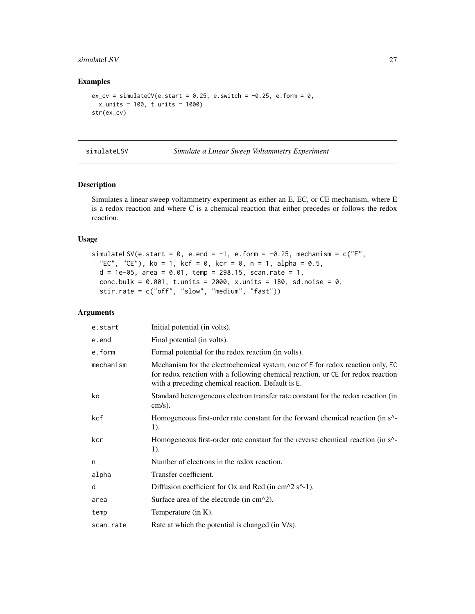#### <span id="page-26-0"></span>simulateLSV 27

#### Examples

```
ex_{c}v = simulateCV(e.start = 0.25, e.switch = -0.25, e.form = 0,
 x.units = 100, t.units = 1000)
str(ex_cv)
```
simulateLSV *Simulate a Linear Sweep Voltammetry Experiment*

#### Description

Simulates a linear sweep voltammetry experiment as either an E, EC, or CE mechanism, where E is a redox reaction and where C is a chemical reaction that either precedes or follows the redox reaction.

#### Usage

```
simulateLSV(e.start = 0, e.end = -1, e.form = -0.25, mechanism = c("E","EC", "CE"), ko = 1, kcf = 0, kcr = 0, n = 1, alpha = 0.5,
 d = 1e-05, area = 0.01, temp = 298.15, scan.rate = 1,
 conc.bulk = 0.001, t.units = 2000, x.units = 180, sd.noise = 0,
  stir.rate = c("off", "slow", "medium", "fast"))
```
#### Arguments

| e.start   | Initial potential (in volts).                                                                                                                                                                                          |
|-----------|------------------------------------------------------------------------------------------------------------------------------------------------------------------------------------------------------------------------|
| e.end     | Final potential (in volts).                                                                                                                                                                                            |
| e.form    | Formal potential for the redox reaction (in volts).                                                                                                                                                                    |
| mechanism | Mechanism for the electrochemical system; one of E for redox reaction only, EC<br>for redox reaction with a following chemical reaction, or CE for redox reaction<br>with a preceding chemical reaction. Default is E. |
| ko        | Standard heterogeneous electron transfer rate constant for the redox reaction (in<br>$cm/s$ ).                                                                                                                         |
| kcf       | Homogeneous first-order rate constant for the forward chemical reaction (in s <sup><math>\wedge</math></sup> -<br>1).                                                                                                  |
| kcr       | Homogeneous first-order rate constant for the reverse chemical reaction (in s <sup><math>\wedge</math></sup> -<br>1).                                                                                                  |
| n         | Number of electrons in the redox reaction.                                                                                                                                                                             |
| alpha     | Transfer coefficient.                                                                                                                                                                                                  |
| d         | Diffusion coefficient for Ox and Red (in $cm^2 \text{ s}^{-1}$ ).                                                                                                                                                      |
| area      | Surface area of the electrode (in $cm^2$ ).                                                                                                                                                                            |
| temp      | Temperature (in $K$ ).                                                                                                                                                                                                 |
| scan.rate | Rate at which the potential is changed (in V/s).                                                                                                                                                                       |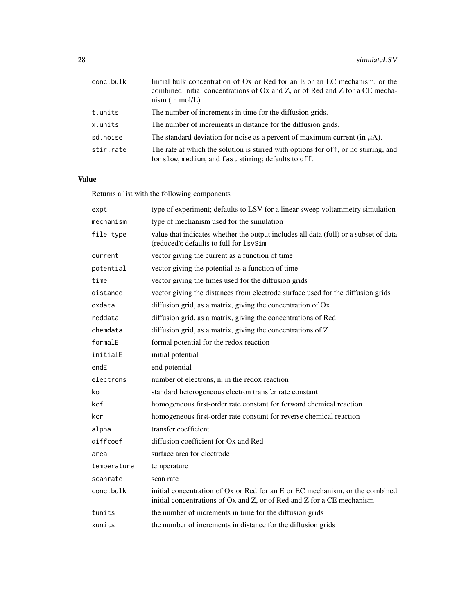| conc.bulk | Initial bulk concentration of Ox or Red for an E or an EC mechanism, or the<br>combined initial concentrations of Ox and Z, or of Red and Z for a CE mecha-<br>$nism$ (in mol/L). |
|-----------|-----------------------------------------------------------------------------------------------------------------------------------------------------------------------------------|
| t.units   | The number of increments in time for the diffusion grids.                                                                                                                         |
| x.units   | The number of increments in distance for the diffusion grids.                                                                                                                     |
| sd.noise  | The standard deviation for noise as a percent of maximum current (in $\mu$ A).                                                                                                    |
| stir.rate | The rate at which the solution is stirred with options for off, or no stirring, and<br>for slow, medium, and fast stirring; defaults to off.                                      |

# Value

Returns a list with the following components

| expt        | type of experiment; defaults to LSV for a linear sweep voltammetry simulation                                                                          |
|-------------|--------------------------------------------------------------------------------------------------------------------------------------------------------|
| mechanism   | type of mechanism used for the simulation                                                                                                              |
| file_type   | value that indicates whether the output includes all data (full) or a subset of data<br>(reduced); defaults to full for 1svSim                         |
| current     | vector giving the current as a function of time                                                                                                        |
| potential   | vector giving the potential as a function of time                                                                                                      |
| time        | vector giving the times used for the diffusion grids                                                                                                   |
| distance    | vector giving the distances from electrode surface used for the diffusion grids                                                                        |
| oxdata      | diffusion grid, as a matrix, giving the concentration of Ox                                                                                            |
| reddata     | diffusion grid, as a matrix, giving the concentrations of Red                                                                                          |
| chemdata    | diffusion grid, as a matrix, giving the concentrations of Z                                                                                            |
| formalE     | formal potential for the redox reaction                                                                                                                |
| initialE    | initial potential                                                                                                                                      |
| endE        | end potential                                                                                                                                          |
| electrons   | number of electrons, n, in the redox reaction                                                                                                          |
| ko          | standard heterogeneous electron transfer rate constant                                                                                                 |
| kcf         | homogeneous first-order rate constant for forward chemical reaction                                                                                    |
| kcr         | homogeneous first-order rate constant for reverse chemical reaction                                                                                    |
| alpha       | transfer coefficient                                                                                                                                   |
| diffcoef    | diffusion coefficient for Ox and Red                                                                                                                   |
| area        | surface area for electrode                                                                                                                             |
| temperature | temperature                                                                                                                                            |
| scanrate    | scan rate                                                                                                                                              |
| conc.bulk   | initial concentration of Ox or Red for an E or EC mechanism, or the combined<br>initial concentrations of Ox and Z, or of Red and Z for a CE mechanism |
| tunits      | the number of increments in time for the diffusion grids                                                                                               |
| xunits      | the number of increments in distance for the diffusion grids                                                                                           |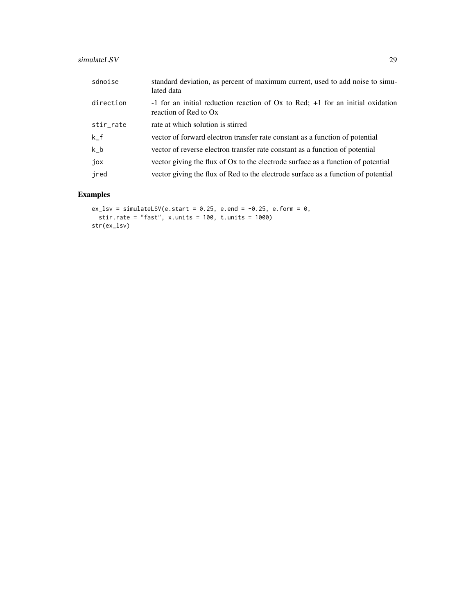# simulateLSV 29

| sdnoise   | standard deviation, as percent of maximum current, used to add noise to simu-<br>lated data                 |
|-----------|-------------------------------------------------------------------------------------------------------------|
| direction | -1 for an initial reduction reaction of $Ox$ to Red; $+1$ for an initial oxidation<br>reaction of Red to Ox |
| stir_rate | rate at which solution is stirred                                                                           |
| $k_f$     | vector of forward electron transfer rate constant as a function of potential                                |
| $k_b$     | vector of reverse electron transfer rate constant as a function of potential                                |
| jox       | vector giving the flux of Ox to the electrode surface as a function of potential                            |
| jred      | vector giving the flux of Red to the electrode surface as a function of potential                           |

```
ex_lsv = simulateLSV(e.start = 0.25, e.end = -0.25, e.form = 0,
  stir.rate = "fast", x.units = 100, t.units = 1000)
str(ex_lsv)
```